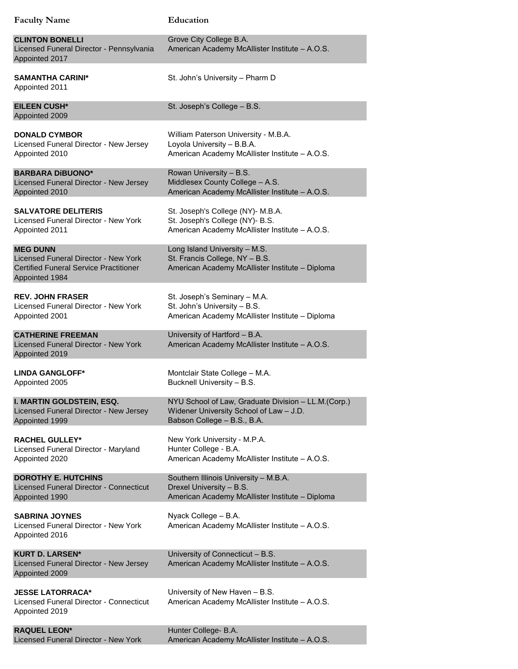| <b>Faculty Name</b>                                                                                                        | Education                                                                                                          |
|----------------------------------------------------------------------------------------------------------------------------|--------------------------------------------------------------------------------------------------------------------|
| <b>CLINTON BONELLI</b><br>Licensed Funeral Director - Pennsylvania<br>Appointed 2017                                       | Grove City College B.A.<br>American Academy McAllister Institute - A.O.S.                                          |
| <b>SAMANTHA CARINI*</b><br>Appointed 2011                                                                                  | St. John's University - Pharm D                                                                                    |
| <b>EILEEN CUSH*</b><br>Appointed 2009                                                                                      | St. Joseph's College - B.S.                                                                                        |
| <b>DONALD CYMBOR</b>                                                                                                       | William Paterson University - M.B.A.                                                                               |
| Licensed Funeral Director - New Jersey                                                                                     | Loyola University - B.B.A.                                                                                         |
| Appointed 2010                                                                                                             | American Academy McAllister Institute - A.O.S.                                                                     |
| <b>BARBARA DIBUONO*</b>                                                                                                    | Rowan University - B.S.                                                                                            |
| Licensed Funeral Director - New Jersey                                                                                     | Middlesex County College - A.S.                                                                                    |
| Appointed 2010                                                                                                             | American Academy McAllister Institute - A.O.S.                                                                     |
| <b>SALVATORE DELITERIS</b>                                                                                                 | St. Joseph's College (NY)- M.B.A.                                                                                  |
| Licensed Funeral Director - New York                                                                                       | St. Joseph's College (NY)- B.S.                                                                                    |
| Appointed 2011                                                                                                             | American Academy McAllister Institute - A.O.S.                                                                     |
| <b>MEG DUNN</b><br>Licensed Funeral Director - New York<br><b>Certified Funeral Service Practitioner</b><br>Appointed 1984 | Long Island University - M.S.<br>St. Francis College, NY - B.S.<br>American Academy McAllister Institute - Diploma |
| <b>REV. JOHN FRASER</b>                                                                                                    | St. Joseph's Seminary - M.A.                                                                                       |
| Licensed Funeral Director - New York                                                                                       | St. John's University - B.S.                                                                                       |
| Appointed 2001                                                                                                             | American Academy McAllister Institute - Diploma                                                                    |
| <b>CATHERINE FREEMAN</b><br>Licensed Funeral Director - New York<br>Appointed 2019                                         | University of Hartford - B.A.<br>American Academy McAllister Institute - A.O.S.                                    |
| <b>LINDA GANGLOFF*</b>                                                                                                     | Montclair State College - M.A.                                                                                     |
| Appointed 2005                                                                                                             | Bucknell University - B.S.                                                                                         |
| I. MARTIN GOLDSTEIN, ESQ.                                                                                                  | NYU School of Law, Graduate Division - LL.M.(Corp.)                                                                |
| Licensed Funeral Director - New Jersey                                                                                     | Widener University School of Law - J.D.                                                                            |
| Appointed 1999                                                                                                             | Babson College - B.S., B.A.                                                                                        |
| <b>RACHEL GULLEY*</b>                                                                                                      | New York University - M.P.A.                                                                                       |
| Licensed Funeral Director - Maryland                                                                                       | Hunter College - B.A.                                                                                              |
| Appointed 2020                                                                                                             | American Academy McAllister Institute - A.O.S.                                                                     |
| <b>DOROTHY E. HUTCHINS</b>                                                                                                 | Southern Illinois University - M.B.A.                                                                              |
| Licensed Funeral Director - Connecticut                                                                                    | Drexel University - B.S.                                                                                           |
| Appointed 1990                                                                                                             | American Academy McAllister Institute - Diploma                                                                    |
| <b>SABRINA JOYNES</b><br>Licensed Funeral Director - New York<br>Appointed 2016                                            | Nyack College - B.A.<br>American Academy McAllister Institute - A.O.S.                                             |
| <b>KURT D. LARSEN*</b><br>Licensed Funeral Director - New Jersey<br>Appointed 2009                                         | University of Connecticut - B.S.<br>American Academy McAllister Institute - A.O.S.                                 |
| <b>JESSE LATORRACA*</b><br>Licensed Funeral Director - Connecticut<br>Appointed 2019                                       | University of New Haven - B.S.<br>American Academy McAllister Institute - A.O.S.                                   |
| <b>RAQUEL LEON*</b>                                                                                                        | Hunter College- B.A.                                                                                               |
| Licensed Funeral Director - New York                                                                                       | American Academy McAllister Institute - A.O.S.                                                                     |